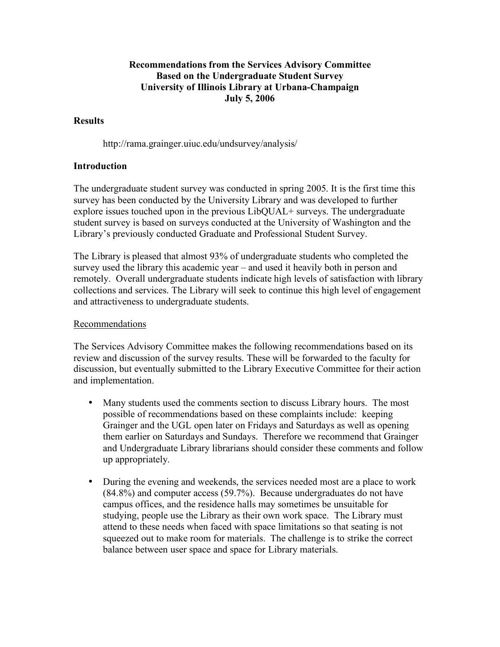## **Recommendations from the Services Advisory Committee Based on the Undergraduate Student Survey University of Illinois Library at Urbana-Champaign July 5, 2006**

## **Results**

http://rama.grainger.uiuc.edu/undsurvey/analysis/

## **Introduction**

The undergraduate student survey was conducted in spring 2005. It is the first time this survey has been conducted by the University Library and was developed to further explore issues touched upon in the previous LibQUAL+ surveys. The undergraduate student survey is based on surveys conducted at the University of Washington and the Library's previously conducted Graduate and Professional Student Survey.

The Library is pleased that almost 93% of undergraduate students who completed the survey used the library this academic year – and used it heavily both in person and remotely. Overall undergraduate students indicate high levels of satisfaction with library collections and services. The Library will seek to continue this high level of engagement and attractiveness to undergraduate students.

## Recommendations

The Services Advisory Committee makes the following recommendations based on its review and discussion of the survey results. These will be forwarded to the faculty for discussion, but eventually submitted to the Library Executive Committee for their action and implementation.

- Many students used the comments section to discuss Library hours. The most possible of recommendations based on these complaints include: keeping Grainger and the UGL open later on Fridays and Saturdays as well as opening them earlier on Saturdays and Sundays. Therefore we recommend that Grainger and Undergraduate Library librarians should consider these comments and follow up appropriately.
- During the evening and weekends, the services needed most are a place to work (84.8%) and computer access (59.7%). Because undergraduates do not have campus offices, and the residence halls may sometimes be unsuitable for studying, people use the Library as their own work space. The Library must attend to these needs when faced with space limitations so that seating is not squeezed out to make room for materials. The challenge is to strike the correct balance between user space and space for Library materials.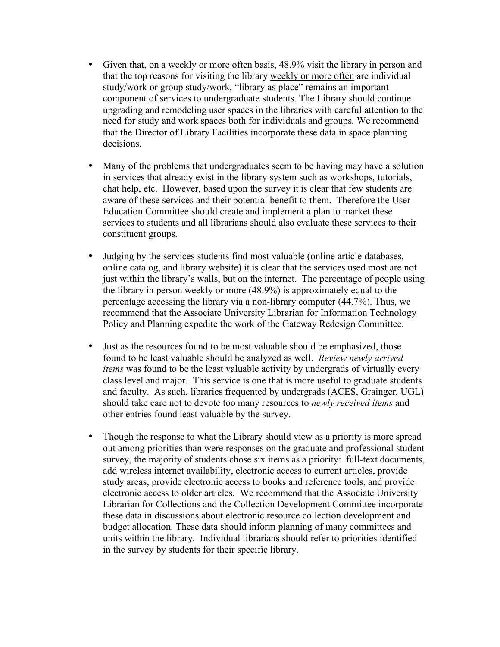- Given that, on a weekly or more often basis, 48.9% visit the library in person and that the top reasons for visiting the library weekly or more often are individual study/work or group study/work, "library as place" remains an important component of services to undergraduate students. The Library should continue upgrading and remodeling user spaces in the libraries with careful attention to the need for study and work spaces both for individuals and groups. We recommend that the Director of Library Facilities incorporate these data in space planning decisions.
- Many of the problems that undergraduates seem to be having may have a solution in services that already exist in the library system such as workshops, tutorials, chat help, etc. However, based upon the survey it is clear that few students are aware of these services and their potential benefit to them. Therefore the User Education Committee should create and implement a plan to market these services to students and all librarians should also evaluate these services to their constituent groups.
- Judging by the services students find most valuable (online article databases, online catalog, and library website) it is clear that the services used most are not just within the library's walls, but on the internet. The percentage of people using the library in person weekly or more (48.9%) is approximately equal to the percentage accessing the library via a non-library computer (44.7%). Thus, we recommend that the Associate University Librarian for Information Technology Policy and Planning expedite the work of the Gateway Redesign Committee.
- Just as the resources found to be most valuable should be emphasized, those found to be least valuable should be analyzed as well. *Review newly arrived items* was found to be the least valuable activity by undergrads of virtually every class level and major. This service is one that is more useful to graduate students and faculty. As such, libraries frequented by undergrads (ACES, Grainger, UGL) should take care not to devote too many resources to *newly received items* and other entries found least valuable by the survey.
- Though the response to what the Library should view as a priority is more spread out among priorities than were responses on the graduate and professional student survey, the majority of students chose six items as a priority: full-text documents, add wireless internet availability, electronic access to current articles, provide study areas, provide electronic access to books and reference tools, and provide electronic access to older articles. We recommend that the Associate University Librarian for Collections and the Collection Development Committee incorporate these data in discussions about electronic resource collection development and budget allocation. These data should inform planning of many committees and units within the library. Individual librarians should refer to priorities identified in the survey by students for their specific library.